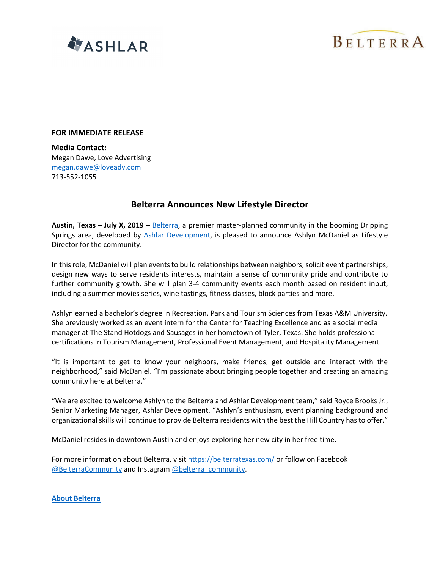



## **FOR IMMEDIATE RELEASE**

**Media Contact:** Megan Dawe, Love Advertising megan.dawe@loveadv.com 713-552-1055

## **Belterra Announces New Lifestyle Director**

**Austin, Texas – July X, 2019 –** Belterra, a premier master-planned community in the booming Dripping Springs area, developed by Ashlar Development, is pleased to announce Ashlyn McDaniel as Lifestyle Director for the community.

In this role, McDaniel will plan events to build relationships between neighbors, solicit event partnerships, design new ways to serve residents interests, maintain a sense of community pride and contribute to further community growth. She will plan 3-4 community events each month based on resident input, including a summer movies series, wine tastings, fitness classes, block parties and more.

Ashlyn earned a bachelor's degree in Recreation, Park and Tourism Sciences from Texas A&M University. She previously worked as an event intern for the Center for Teaching Excellence and as a social media manager at The Stand Hotdogs and Sausages in her hometown of Tyler, Texas. She holds professional certifications in Tourism Management, Professional Event Management, and Hospitality Management.

"It is important to get to know your neighbors, make friends, get outside and interact with the neighborhood," said McDaniel. "I'm passionate about bringing people together and creating an amazing community here at Belterra."

"We are excited to welcome Ashlyn to the Belterra and Ashlar Development team," said Royce Brooks Jr., Senior Marketing Manager, Ashlar Development. "Ashlyn's enthusiasm, event planning background and organizational skills will continue to provide Belterra residents with the best the Hill Country has to offer."

McDaniel resides in downtown Austin and enjoys exploring her new city in her free time.

For more information about Belterra, visit https://belterratexas.com/ or follow on Facebook @BelterraCommunity and Instagram @belterra\_community.

**About Belterra**